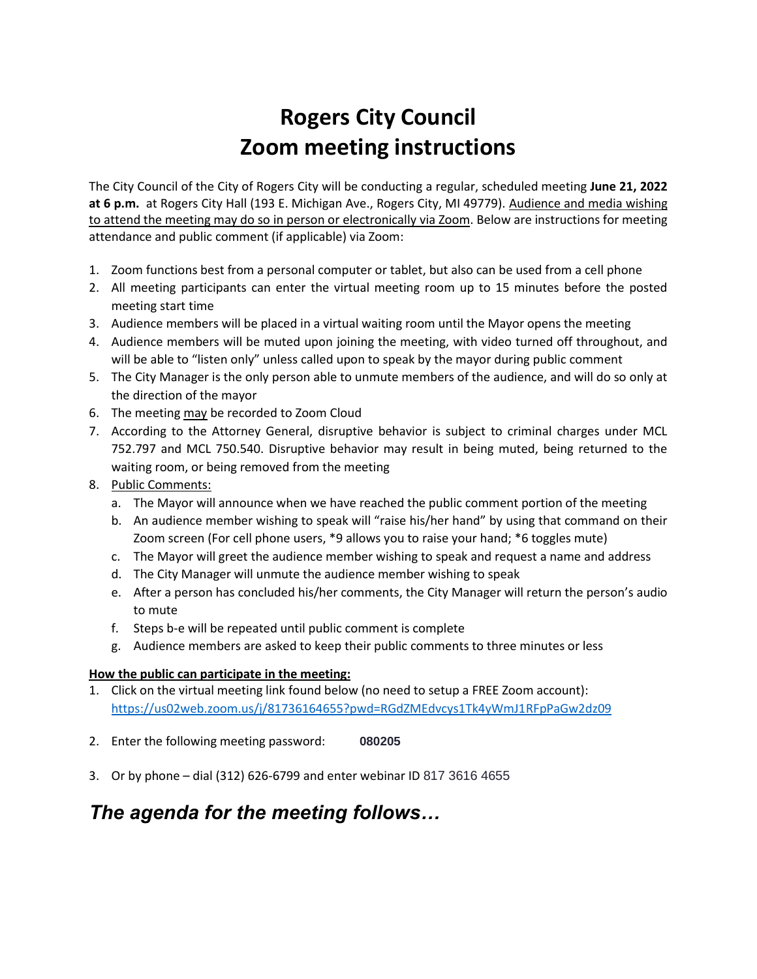# **Rogers City Council Zoom meeting instructions**

The City Council of the City of Rogers City will be conducting a regular, scheduled meeting **June 21, 2022 at 6 p.m.** at Rogers City Hall (193 E. Michigan Ave., Rogers City, MI 49779). Audience and media wishing to attend the meeting may do so in person or electronically via Zoom. Below are instructions for meeting attendance and public comment (if applicable) via Zoom:

- 1. Zoom functions best from a personal computer or tablet, but also can be used from a cell phone
- 2. All meeting participants can enter the virtual meeting room up to 15 minutes before the posted meeting start time
- 3. Audience members will be placed in a virtual waiting room until the Mayor opens the meeting
- 4. Audience members will be muted upon joining the meeting, with video turned off throughout, and will be able to "listen only" unless called upon to speak by the mayor during public comment
- 5. The City Manager is the only person able to unmute members of the audience, and will do so only at the direction of the mayor
- 6. The meeting may be recorded to Zoom Cloud
- 7. According to the Attorney General, disruptive behavior is subject to criminal charges under MCL 752.797 and MCL 750.540. Disruptive behavior may result in being muted, being returned to the waiting room, or being removed from the meeting
- 8. Public Comments:
	- a. The Mayor will announce when we have reached the public comment portion of the meeting
	- b. An audience member wishing to speak will "raise his/her hand" by using that command on their Zoom screen (For cell phone users, \*9 allows you to raise your hand; \*6 toggles mute)
	- c. The Mayor will greet the audience member wishing to speak and request a name and address
	- d. The City Manager will unmute the audience member wishing to speak
	- e. After a person has concluded his/her comments, the City Manager will return the person's audio to mute
	- f. Steps b-e will be repeated until public comment is complete
	- g. Audience members are asked to keep their public comments to three minutes or less

## **How the public can participate in the meeting:**

- 1. Click on the virtual meeting link found below (no need to setup a FREE Zoom account): <https://us02web.zoom.us/j/81736164655?pwd=RGdZMEdvcys1Tk4yWmJ1RFpPaGw2dz09>
- 2. Enter the following meeting password: **080205**
- 3. Or by phone dial (312) 626-6799 and enter webinar ID 817 3616 4655

# *The agenda for the meeting follows…*